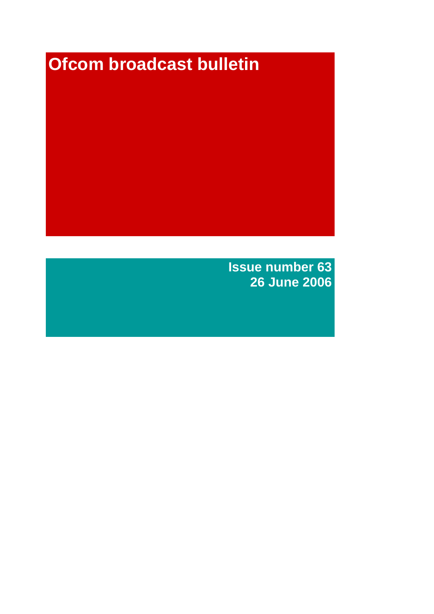# **Ofcom broadcast bulletin**

**Issue number 63 26 June 2006**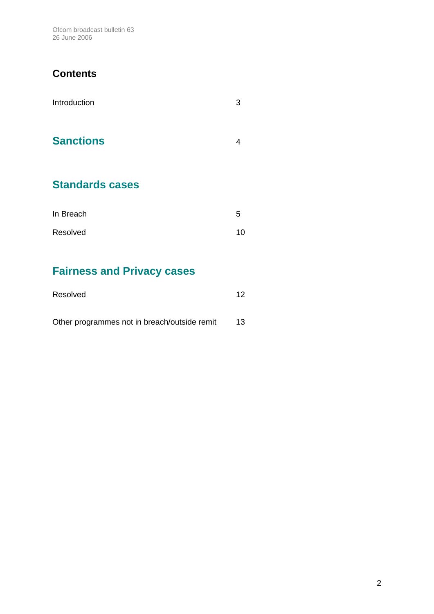Ofcom broadcast bulletin 63 26 June 2006

## **Contents**

| Introduction           | 3 |
|------------------------|---|
| <b>Sanctions</b>       | 4 |
| <b>Standards cases</b> |   |
| In Broach              | ς |

| In Breach | ს  |
|-----------|----|
| Resolved  | 10 |

# **Fairness and Privacy cases**

| Resolved                                     | 12 |
|----------------------------------------------|----|
|                                              |    |
| Other programmes not in breach/outside remit | 13 |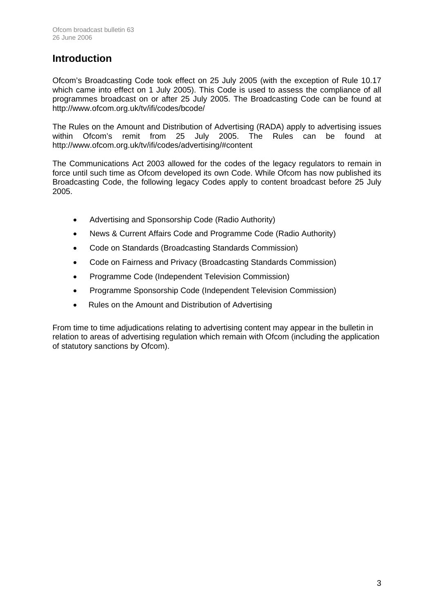## **Introduction**

Ofcom's Broadcasting Code took effect on 25 July 2005 (with the exception of Rule 10.17 which came into effect on 1 July 2005). This Code is used to assess the compliance of all programmes broadcast on or after 25 July 2005. The Broadcasting Code can be found at http://www.ofcom.org.uk/tv/ifi/codes/bcode/

The Rules on the Amount and Distribution of Advertising (RADA) apply to advertising issues within Ofcom's remit from 25 July 2005. The Rules can be found at http://www.ofcom.org.uk/tv/ifi/codes/advertising/#content

The Communications Act 2003 allowed for the codes of the legacy regulators to remain in force until such time as Ofcom developed its own Code. While Ofcom has now published its Broadcasting Code, the following legacy Codes apply to content broadcast before 25 July 2005.

- Advertising and Sponsorship Code (Radio Authority)
- News & Current Affairs Code and Programme Code (Radio Authority)
- Code on Standards (Broadcasting Standards Commission)
- Code on Fairness and Privacy (Broadcasting Standards Commission)
- Programme Code (Independent Television Commission)
- Programme Sponsorship Code (Independent Television Commission)
- Rules on the Amount and Distribution of Advertising

From time to time adjudications relating to advertising content may appear in the bulletin in relation to areas of advertising regulation which remain with Ofcom (including the application of statutory sanctions by Ofcom).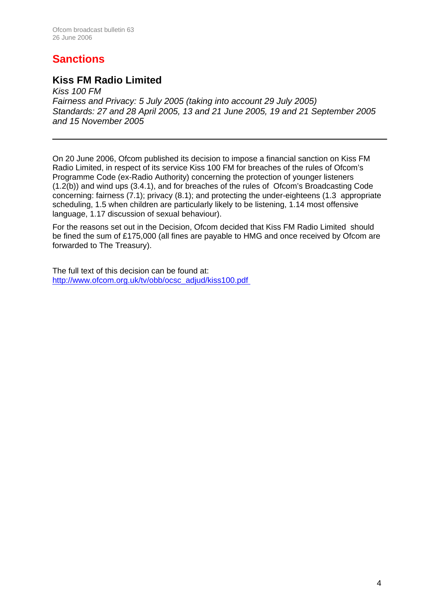# **Sanctions**

## **Kiss FM Radio Limited**

*Kiss 100 FM Fairness and Privacy: 5 July 2005 (taking into account 29 July 2005) Standards: 27 and 28 April 2005, 13 and 21 June 2005, 19 and 21 September 2005 and 15 November 2005* 

On 20 June 2006, Ofcom published its decision to impose a financial sanction on Kiss FM Radio Limited, in respect of its service Kiss 100 FM for breaches of the rules of Ofcom's Programme Code (ex-Radio Authority) concerning the protection of younger listeners (1.2(b)) and wind ups (3.4.1), and for breaches of the rules of Ofcom's Broadcasting Code concerning: fairness (7.1); privacy (8.1); and protecting the under-eighteens (1.3 appropriate scheduling, 1.5 when children are particularly likely to be listening, 1.14 most offensive language, 1.17 discussion of sexual behaviour).

For the reasons set out in the Decision, Ofcom decided that Kiss FM Radio Limited should be fined the sum of £175,000 (all fines are payable to HMG and once received by Ofcom are forwarded to The Treasury).

The full text of this decision can be found at: [http://www.ofcom.org.uk/tv/obb/ocsc\\_adjud/kiss100.pdf](http://www.ofcom.org.uk/tv/obb/ocsc_adjud/kiss100.pdf)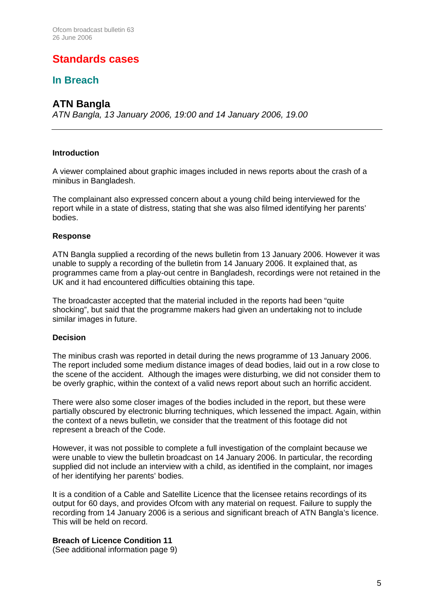## **Standards cases**

## **In Breach**

## **ATN Bangla**

*ATN Bangla, 13 January 2006, 19:00 and 14 January 2006, 19.00*

#### **Introduction**

A viewer complained about graphic images included in news reports about the crash of a minibus in Bangladesh.

The complainant also expressed concern about a young child being interviewed for the report while in a state of distress, stating that she was also filmed identifying her parents' bodies.

#### **Response**

ATN Bangla supplied a recording of the news bulletin from 13 January 2006. However it was unable to supply a recording of the bulletin from 14 January 2006. It explained that, as programmes came from a play-out centre in Bangladesh, recordings were not retained in the UK and it had encountered difficulties obtaining this tape.

The broadcaster accepted that the material included in the reports had been "quite shocking", but said that the programme makers had given an undertaking not to include similar images in future.

#### **Decision**

The minibus crash was reported in detail during the news programme of 13 January 2006. The report included some medium distance images of dead bodies, laid out in a row close to the scene of the accident. Although the images were disturbing, we did not consider them to be overly graphic, within the context of a valid news report about such an horrific accident.

There were also some closer images of the bodies included in the report, but these were partially obscured by electronic blurring techniques, which lessened the impact. Again, within the context of a news bulletin, we consider that the treatment of this footage did not represent a breach of the Code.

However, it was not possible to complete a full investigation of the complaint because we were unable to view the bulletin broadcast on 14 January 2006. In particular, the recording supplied did not include an interview with a child, as identified in the complaint, nor images of her identifying her parents' bodies.

It is a condition of a Cable and Satellite Licence that the licensee retains recordings of its output for 60 days, and provides Ofcom with any material on request. Failure to supply the recording from 14 January 2006 is a serious and significant breach of ATN Bangla's licence. This will be held on record.

#### **Breach of Licence Condition 11**

(See additional information page 9)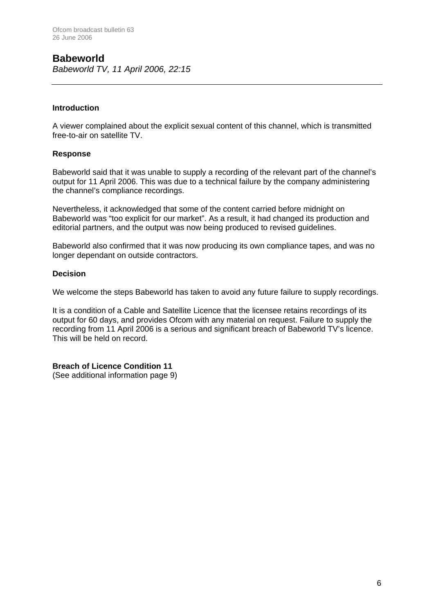#### **Babeworld**  *Babeworld TV, 11 April 2006, 22:15*

#### **Introduction**

A viewer complained about the explicit sexual content of this channel, which is transmitted free-to-air on satellite TV.

#### **Response**

Babeworld said that it was unable to supply a recording of the relevant part of the channel's output for 11 April 2006. This was due to a technical failure by the company administering the channel's compliance recordings.

Nevertheless, it acknowledged that some of the content carried before midnight on Babeworld was "too explicit for our market". As a result, it had changed its production and editorial partners, and the output was now being produced to revised guidelines.

Babeworld also confirmed that it was now producing its own compliance tapes, and was no longer dependant on outside contractors.

#### **Decision**

We welcome the steps Babeworld has taken to avoid any future failure to supply recordings.

It is a condition of a Cable and Satellite Licence that the licensee retains recordings of its output for 60 days, and provides Ofcom with any material on request. Failure to supply the recording from 11 April 2006 is a serious and significant breach of Babeworld TV's licence. This will be held on record.

#### **Breach of Licence Condition 11**

(See additional information page 9)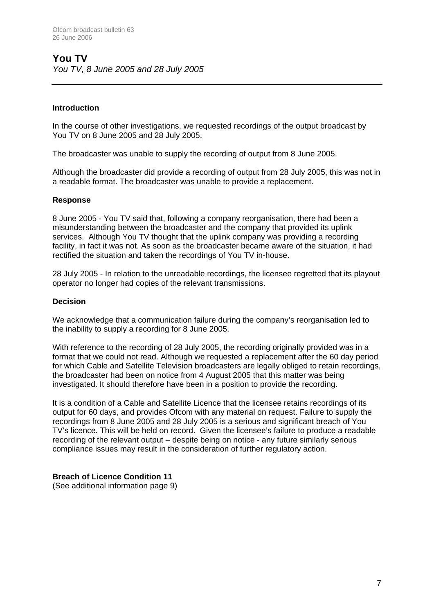#### **Introduction**

In the course of other investigations, we requested recordings of the output broadcast by You TV on 8 June 2005 and 28 July 2005.

The broadcaster was unable to supply the recording of output from 8 June 2005.

Although the broadcaster did provide a recording of output from 28 July 2005, this was not in a readable format. The broadcaster was unable to provide a replacement.

#### **Response**

8 June 2005 - You TV said that, following a company reorganisation, there had been a misunderstanding between the broadcaster and the company that provided its uplink services. Although You TV thought that the uplink company was providing a recording facility, in fact it was not. As soon as the broadcaster became aware of the situation, it had rectified the situation and taken the recordings of You TV in-house.

28 July 2005 - In relation to the unreadable recordings, the licensee regretted that its playout operator no longer had copies of the relevant transmissions.

#### **Decision**

We acknowledge that a communication failure during the company's reorganisation led to the inability to supply a recording for 8 June 2005.

With reference to the recording of 28 July 2005, the recording originally provided was in a format that we could not read. Although we requested a replacement after the 60 day period for which Cable and Satellite Television broadcasters are legally obliged to retain recordings, the broadcaster had been on notice from 4 August 2005 that this matter was being investigated. It should therefore have been in a position to provide the recording.

It is a condition of a Cable and Satellite Licence that the licensee retains recordings of its output for 60 days, and provides Ofcom with any material on request. Failure to supply the recordings from 8 June 2005 and 28 July 2005 is a serious and significant breach of You TV's licence. This will be held on record. Given the licensee's failure to produce a readable recording of the relevant output – despite being on notice - any future similarly serious compliance issues may result in the consideration of further regulatory action.

#### **Breach of Licence Condition 11**

(See additional information page 9)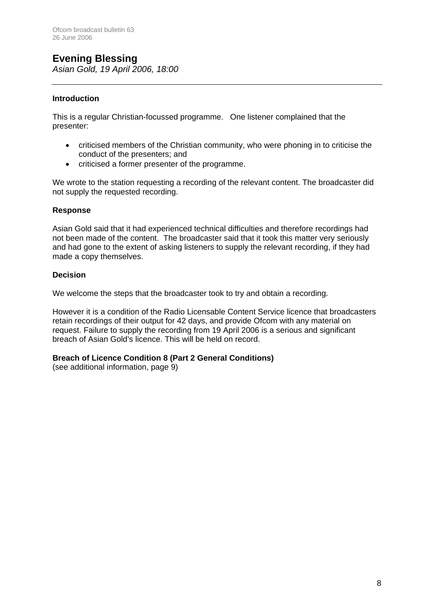## **Evening Blessing**

*Asian Gold, 19 April 2006, 18:00*

#### **Introduction**

This is a regular Christian-focussed programme. One listener complained that the presenter:

- criticised members of the Christian community, who were phoning in to criticise the conduct of the presenters; and
- criticised a former presenter of the programme.

We wrote to the station requesting a recording of the relevant content. The broadcaster did not supply the requested recording.

#### **Response**

Asian Gold said that it had experienced technical difficulties and therefore recordings had not been made of the content. The broadcaster said that it took this matter very seriously and had gone to the extent of asking listeners to supply the relevant recording, if they had made a copy themselves.

#### **Decision**

We welcome the steps that the broadcaster took to try and obtain a recording.

However it is a condition of the Radio Licensable Content Service licence that broadcasters retain recordings of their output for 42 days, and provide Ofcom with any material on request. Failure to supply the recording from 19 April 2006 is a serious and significant breach of Asian Gold's licence. This will be held on record.

#### **Breach of Licence Condition 8 (Part 2 General Conditions)**

(see additional information, page 9)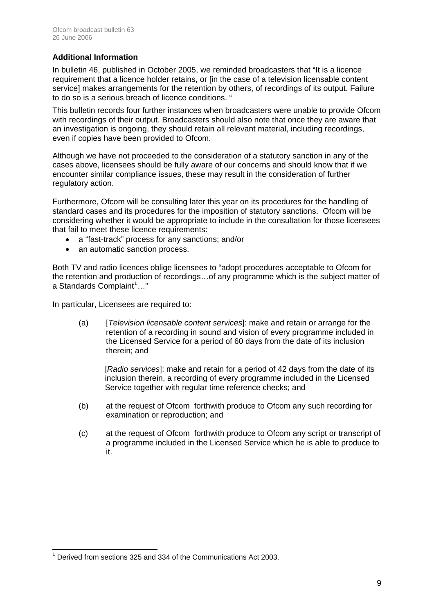#### **Additional Information**

In bulletin 46, published in October 2005, we reminded broadcasters that "It is a licence requirement that a licence holder retains, or [in the case of a television licensable content service] makes arrangements for the retention by others, of recordings of its output. Failure to do so is a serious breach of licence conditions. "

This bulletin records four further instances when broadcasters were unable to provide Ofcom with recordings of their output. Broadcasters should also note that once they are aware that an investigation is ongoing, they should retain all relevant material, including recordings, even if copies have been provided to Ofcom.

Although we have not proceeded to the consideration of a statutory sanction in any of the cases above, licensees should be fully aware of our concerns and should know that if we encounter similar compliance issues, these may result in the consideration of further regulatory action.

Furthermore, Ofcom will be consulting later this year on its procedures for the handling of standard cases and its procedures for the imposition of statutory sanctions. Ofcom will be considering whether it would be appropriate to include in the consultation for those licensees that fail to meet these licence requirements:

- a "fast-track" process for any sanctions; and/or
- an automatic sanction process.

Both TV and radio licences oblige licensees to "adopt procedures acceptable to Ofcom for the retention and production of recordings…of any programme which is the subject matter of a Standards Complaint<sup>[1](#page-8-0)</sup>..."

In particular, Licensees are required to:

(a) [*Television licensable content services*]: make and retain or arrange for the retention of a recording in sound and vision of every programme included in the Licensed Service for a period of 60 days from the date of its inclusion therein; and

[*Radio services*]: make and retain for a period of 42 days from the date of its inclusion therein, a recording of every programme included in the Licensed Service together with regular time reference checks; and

- (b) at the request of Ofcom forthwith produce to Ofcom any such recording for examination or reproduction; and
- (c) at the request of Ofcom forthwith produce to Ofcom any script or transcript of a programme included in the Licensed Service which he is able to produce to it.

<span id="page-8-0"></span> $\overline{a}$  $1$  Derived from sections 325 and 334 of the Communications Act 2003.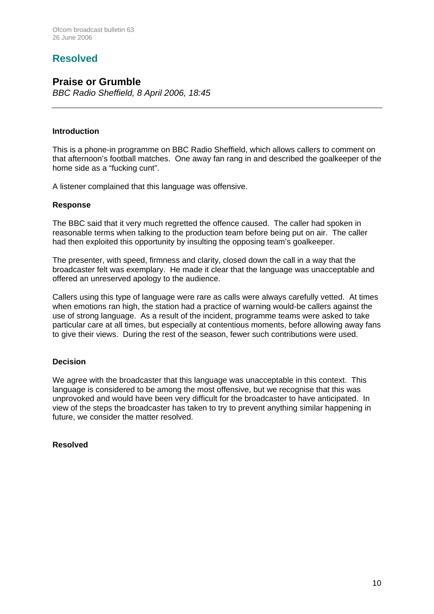## **Resolved**

## **Praise or Grumble**

*BBC Radio Sheffield, 8 April 2006, 18:45*

#### **Introduction**

This is a phone-in programme on BBC Radio Sheffield, which allows callers to comment on that afternoon's football matches. One away fan rang in and described the goalkeeper of the home side as a "fucking cunt".

A listener complained that this language was offensive.

#### **Response**

The BBC said that it very much regretted the offence caused. The caller had spoken in reasonable terms when talking to the production team before being put on air. The caller had then exploited this opportunity by insulting the opposing team's goalkeeper.

The presenter, with speed, firmness and clarity, closed down the call in a way that the broadcaster felt was exemplary. He made it clear that the language was unacceptable and offered an unreserved apology to the audience.

Callers using this type of language were rare as calls were always carefully vetted. At times when emotions ran high, the station had a practice of warning would-be callers against the use of strong language. As a result of the incident, programme teams were asked to take particular care at all times, but especially at contentious moments, before allowing away fans to give their views. During the rest of the season, fewer such contributions were used.

#### **Decision**

We agree with the broadcaster that this language was unacceptable in this context. This language is considered to be among the most offensive, but we recognise that this was unprovoked and would have been very difficult for the broadcaster to have anticipated. In view of the steps the broadcaster has taken to try to prevent anything similar happening in future, we consider the matter resolved.

#### **Resolved**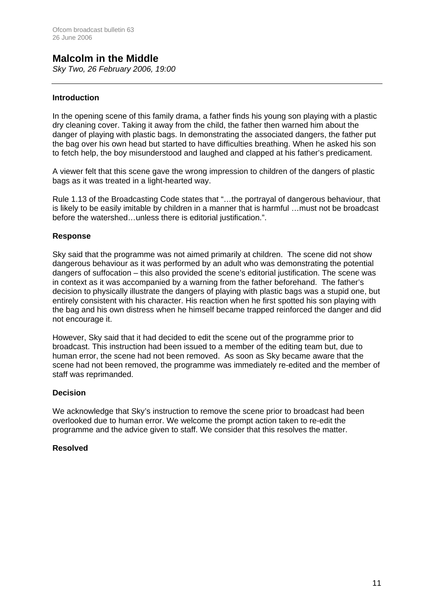## **Malcolm in the Middle**

*Sky Two, 26 February 2006, 19:00*

#### **Introduction**

In the opening scene of this family drama, a father finds his young son playing with a plastic dry cleaning cover. Taking it away from the child, the father then warned him about the danger of playing with plastic bags. In demonstrating the associated dangers, the father put the bag over his own head but started to have difficulties breathing. When he asked his son to fetch help, the boy misunderstood and laughed and clapped at his father's predicament.

A viewer felt that this scene gave the wrong impression to children of the dangers of plastic bags as it was treated in a light-hearted way.

Rule 1.13 of the Broadcasting Code states that "…the portrayal of dangerous behaviour, that is likely to be easily imitable by children in a manner that is harmful …must not be broadcast before the watershed…unless there is editorial justification.".

#### **Response**

Sky said that the programme was not aimed primarily at children. The scene did not show dangerous behaviour as it was performed by an adult who was demonstrating the potential dangers of suffocation – this also provided the scene's editorial justification. The scene was in context as it was accompanied by a warning from the father beforehand. The father's decision to physically illustrate the dangers of playing with plastic bags was a stupid one, but entirely consistent with his character. His reaction when he first spotted his son playing with the bag and his own distress when he himself became trapped reinforced the danger and did not encourage it.

However, Sky said that it had decided to edit the scene out of the programme prior to broadcast. This instruction had been issued to a member of the editing team but, due to human error, the scene had not been removed. As soon as Sky became aware that the scene had not been removed, the programme was immediately re-edited and the member of staff was reprimanded.

#### **Decision**

We acknowledge that Sky's instruction to remove the scene prior to broadcast had been overlooked due to human error. We welcome the prompt action taken to re-edit the programme and the advice given to staff. We consider that this resolves the matter.

#### **Resolved**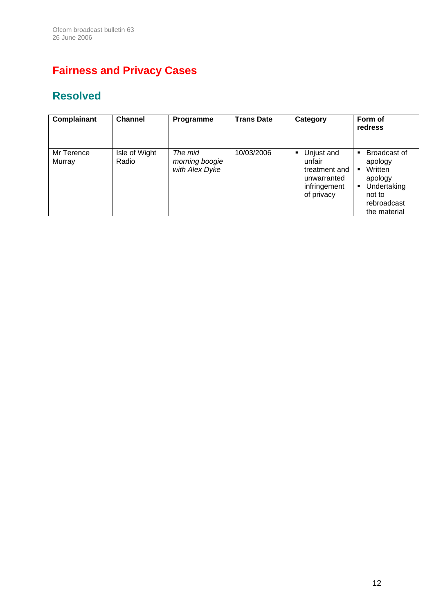# **Fairness and Privacy Cases**

# **Resolved**

| Complainant          | <b>Channel</b>         | Programme                                   | <b>Trans Date</b> | Category                                                                                | Form of<br>redress                                                                                                                       |
|----------------------|------------------------|---------------------------------------------|-------------------|-----------------------------------------------------------------------------------------|------------------------------------------------------------------------------------------------------------------------------------------|
| Mr Terence<br>Murray | Isle of Wight<br>Radio | The mid<br>morning boogie<br>with Alex Dyke | 10/03/2006        | Unjust and<br>٠<br>unfair<br>treatment and<br>unwarranted<br>infringement<br>of privacy | <b>Broadcast of</b><br>$\blacksquare$<br>apology<br>Written<br>٠<br>apology<br>Undertaking<br>٠<br>not to<br>rebroadcast<br>the material |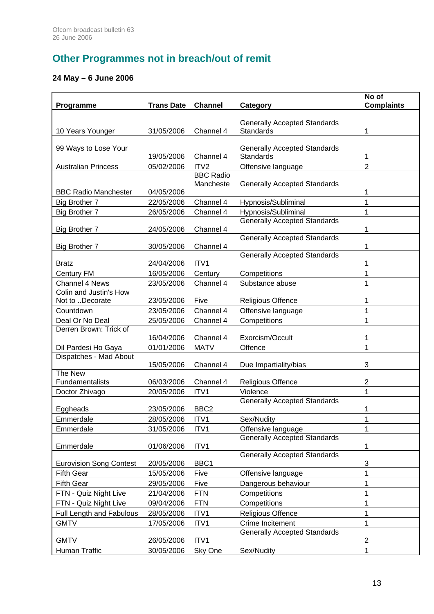# **Other Programmes not in breach/out of remit**

## **24 May – 6 June 2006**

| Programme                                           | <b>Trans Date</b>        | <b>Channel</b>   | Category                                         | No of<br><b>Complaints</b> |
|-----------------------------------------------------|--------------------------|------------------|--------------------------------------------------|----------------------------|
|                                                     |                          |                  |                                                  |                            |
|                                                     | 31/05/2006               | Channel 4        | <b>Generally Accepted Standards</b><br>Standards |                            |
| 10 Years Younger                                    |                          |                  |                                                  | 1                          |
| 99 Ways to Lose Your                                |                          |                  | <b>Generally Accepted Standards</b>              |                            |
|                                                     | 19/05/2006               | Channel 4        | Standards                                        | 1                          |
| <b>Australian Princess</b>                          | 05/02/2006               | ITV <sub>2</sub> | Offensive language                               | $\overline{2}$             |
|                                                     |                          | <b>BBC Radio</b> |                                                  |                            |
| <b>BBC Radio Manchester</b>                         | 04/05/2006               | Mancheste        | <b>Generally Accepted Standards</b>              | 1                          |
| <b>Big Brother 7</b>                                | 22/05/2006               | Channel 4        | Hypnosis/Subliminal                              | 1                          |
| Big Brother 7                                       | 26/05/2006               | Channel 4        | Hypnosis/Subliminal                              | 1                          |
|                                                     |                          |                  | <b>Generally Accepted Standards</b>              |                            |
| <b>Big Brother 7</b>                                | 24/05/2006               | Channel 4        |                                                  | 1                          |
|                                                     |                          |                  | <b>Generally Accepted Standards</b>              |                            |
| <b>Big Brother 7</b>                                | 30/05/2006               | Channel 4        |                                                  | 1                          |
| <b>Bratz</b>                                        | 24/04/2006               | ITV1             | <b>Generally Accepted Standards</b>              | 1                          |
| Century FM                                          | 16/05/2006               | Century          | Competitions                                     | 1                          |
| <b>Channel 4 News</b>                               | 23/05/2006               | Channel 4        | Substance abuse                                  | 1                          |
| Colin and Justin's How                              |                          |                  |                                                  |                            |
| Not to Decorate                                     | 23/05/2006               | Five             | <b>Religious Offence</b>                         | 1                          |
| Countdown                                           | 23/05/2006               | Channel 4        | Offensive language                               | 1                          |
| Deal Or No Deal                                     | 25/05/2006               | Channel 4        | Competitions                                     | 1                          |
| Derren Brown: Trick of                              | 16/04/2006               | Channel 4        | Exorcism/Occult                                  | 1                          |
| Dil Pardesi Ho Gaya                                 | 01/01/2006               | <b>MATV</b>      | Offence                                          | 1                          |
| Dispatches - Mad About                              |                          |                  |                                                  |                            |
|                                                     | 15/05/2006               | Channel 4        | Due Impartiality/bias                            | 3                          |
| The New                                             |                          |                  |                                                  |                            |
| Fundamentalists                                     | 06/03/2006               | Channel 4        | <b>Religious Offence</b>                         | 2                          |
| Doctor Zhivago                                      | 20/05/2006               | ITV1             | Violence                                         | 1                          |
| Eggheads                                            | 23/05/2006               | BBC <sub>2</sub> | <b>Generally Accepted Standards</b>              | 1                          |
| Emmerdale                                           | 28/05/2006               | ITV1             | Sex/Nudity                                       | 1                          |
| Emmerdale                                           | 31/05/2006               | ITV1             | Offensive language                               | 1                          |
|                                                     |                          |                  | <b>Generally Accepted Standards</b>              |                            |
| Emmerdale                                           | 01/06/2006               | ITV1             |                                                  | 1                          |
|                                                     |                          | BBC1             | <b>Generally Accepted Standards</b>              |                            |
| <b>Eurovision Song Contest</b><br><b>Fifth Gear</b> | 20/05/2006<br>15/05/2006 | Five             | Offensive language                               | 3<br>1                     |
| <b>Fifth Gear</b>                                   | 29/05/2006               | Five             | Dangerous behaviour                              | 1                          |
| FTN - Quiz Night Live                               | 21/04/2006               | <b>FTN</b>       | Competitions                                     | 1                          |
| FTN - Quiz Night Live                               | 09/04/2006               | <b>FTN</b>       | Competitions                                     | 1                          |
| Full Length and Fabulous                            | 28/05/2006               | ITV1             | Religious Offence                                | $\mathbf{1}$               |
| <b>GMTV</b>                                         | 17/05/2006               | ITV1             | Crime Incitement                                 | 1                          |
|                                                     |                          |                  | <b>Generally Accepted Standards</b>              |                            |
| <b>GMTV</b>                                         | 26/05/2006               | ITV1             |                                                  | 2                          |
| Human Traffic                                       | 30/05/2006               | Sky One          | Sex/Nudity                                       | 1                          |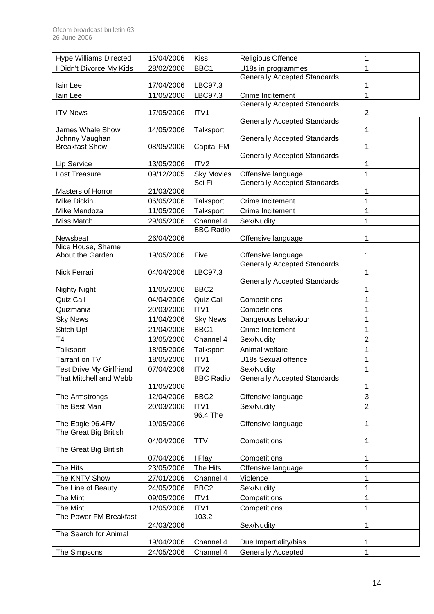| <b>Hype Williams Directed</b>   | 15/04/2006 | <b>Kiss</b>                 | Religious Offence                                  | 1              |
|---------------------------------|------------|-----------------------------|----------------------------------------------------|----------------|
| I Didn't Divorce My Kids        | 28/02/2006 | BBC1                        | U18s in programmes                                 | 1              |
|                                 |            |                             | <b>Generally Accepted Standards</b>                |                |
| lain Lee                        | 17/04/2006 | LBC97.3                     |                                                    | 1              |
| lain Lee                        | 11/05/2006 | LBC97.3                     | Crime Incitement                                   | 1              |
| <b>ITV News</b>                 | 17/05/2006 | ITV1                        | <b>Generally Accepted Standards</b>                | $\overline{c}$ |
|                                 |            |                             | <b>Generally Accepted Standards</b>                |                |
| James Whale Show                | 14/05/2006 | Talksport                   |                                                    | 1              |
| Johnny Vaughan                  |            |                             | <b>Generally Accepted Standards</b>                |                |
| <b>Breakfast Show</b>           | 08/05/2006 | Capital FM                  |                                                    | 1              |
|                                 |            |                             | <b>Generally Accepted Standards</b>                |                |
| Lip Service                     | 13/05/2006 | ITV <sub>2</sub>            |                                                    | 1              |
| Lost Treasure                   | 09/12/2005 | <b>Sky Movies</b><br>Sci Fi | Offensive language<br>Generally Accepted Standards | 1              |
| Masters of Horror               | 21/03/2006 |                             |                                                    | 1              |
| Mike Dickin                     | 06/05/2006 | Talksport                   | Crime Incitement                                   | 1              |
| Mike Mendoza                    | 11/05/2006 | Talksport                   | Crime Incitement                                   | 1              |
| Miss Match                      | 29/05/2006 | Channel 4                   | Sex/Nudity                                         | 1              |
|                                 |            | <b>BBC Radio</b>            |                                                    |                |
| Newsbeat                        | 26/04/2006 |                             | Offensive language                                 | 1              |
| Nice House, Shame               |            |                             |                                                    |                |
| About the Garden                | 19/05/2006 | Five                        | Offensive language                                 | 1              |
|                                 |            |                             | <b>Generally Accepted Standards</b>                |                |
| Nick Ferrari                    | 04/04/2006 | LBC97.3                     | <b>Generally Accepted Standards</b>                | 1              |
| <b>Nighty Night</b>             | 11/05/2006 | BBC <sub>2</sub>            |                                                    | 1              |
| Quiz Call                       | 04/04/2006 | Quiz Call                   | Competitions                                       | 1              |
| Quizmania                       | 20/03/2006 | ITV1                        | Competitions                                       | 1              |
| <b>Sky News</b>                 | 11/04/2006 | <b>Sky News</b>             | Dangerous behaviour                                | 1              |
| Stitch Up!                      | 21/04/2006 | BBC1                        | Crime Incitement                                   | 1              |
| T <sub>4</sub>                  | 13/05/2006 | Channel 4                   | Sex/Nudity                                         | $\overline{2}$ |
| Talksport                       | 18/05/2006 | Talksport                   | Animal welfare                                     | 1              |
| Tarrant on TV                   | 18/05/2006 | ITV1                        | U18s Sexual offence                                | 1              |
| <b>Test Drive My Girlfriend</b> | 07/04/2006 | ITV <sub>2</sub>            | Sex/Nudity                                         | 1              |
| That Mitchell and Webb          |            | <b>BBC Radio</b>            | <b>Generally Accepted Standards</b>                |                |
|                                 | 11/05/2006 |                             |                                                    | 1              |
| The Armstrongs                  | 12/04/2006 | BBC <sub>2</sub>            | Offensive language                                 | 3              |
| The Best Man                    | 20/03/2006 | ITV1                        | Sex/Nudity                                         | $\overline{2}$ |
|                                 |            | 96.4 The                    |                                                    |                |
| The Eagle 96.4FM                | 19/05/2006 |                             | Offensive language                                 | 1              |
| The Great Big British           |            |                             |                                                    |                |
| The Great Big British           | 04/04/2006 | <b>TTV</b>                  | Competitions                                       | 1              |
|                                 | 07/04/2006 | I Play                      | Competitions                                       | 1              |
| The Hits                        | 23/05/2006 | The Hits                    | Offensive language                                 | 1              |
| The KNTV Show                   | 27/01/2006 | Channel 4                   | Violence                                           | 1              |
| The Line of Beauty              | 24/05/2006 | BBC <sub>2</sub>            | Sex/Nudity                                         | $\mathbf{1}$   |
| The Mint                        | 09/05/2006 | ITV1                        | Competitions                                       | $\mathbf{1}$   |
| The Mint                        | 12/05/2006 | ITV1                        | Competitions                                       | 1              |
| The Power FM Breakfast          |            | 103.2                       |                                                    |                |
|                                 | 24/03/2006 |                             | Sex/Nudity                                         | 1              |
| The Search for Animal           |            |                             |                                                    |                |
|                                 | 19/04/2006 | Channel 4                   | Due Impartiality/bias                              | 1              |
| The Simpsons                    | 24/05/2006 | Channel 4                   | <b>Generally Accepted</b>                          | 1              |